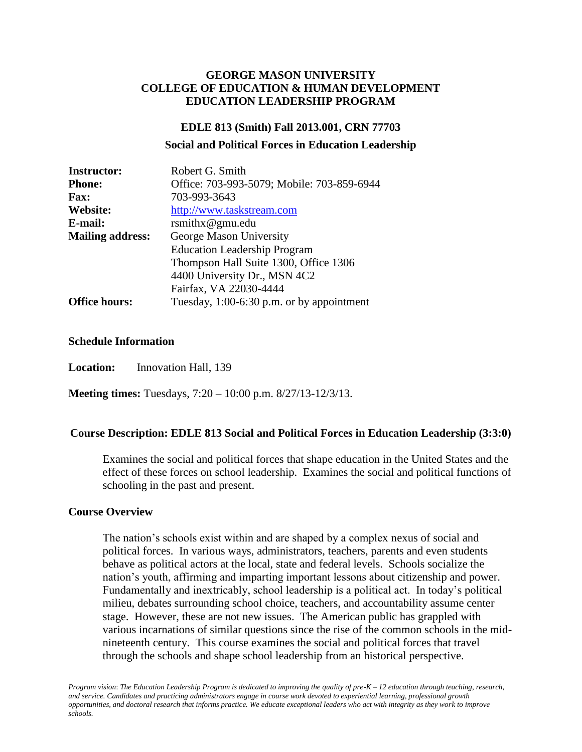#### **GEORGE MASON UNIVERSITY COLLEGE OF EDUCATION & HUMAN DEVELOPMENT EDUCATION LEADERSHIP PROGRAM**

#### **EDLE 813 (Smith) Fall 2013.001, CRN 77703**

#### **Social and Political Forces in Education Leadership**

| <b>Instructor:</b>      | Robert G. Smith                             |
|-------------------------|---------------------------------------------|
| <b>Phone:</b>           | Office: 703-993-5079; Mobile: 703-859-6944  |
| <b>Fax:</b>             | 703-993-3643                                |
| Website:                | http://www.taskstream.com                   |
| E-mail:                 | rsmithx@gmu.edu                             |
| <b>Mailing address:</b> | George Mason University                     |
|                         | <b>Education Leadership Program</b>         |
|                         | Thompson Hall Suite 1300, Office 1306       |
|                         | 4400 University Dr., MSN 4C2                |
|                         | Fairfax, VA 22030-4444                      |
| <b>Office hours:</b>    | Tuesday, $1:00-6:30$ p.m. or by appointment |

#### **Schedule Information**

**Location:** Innovation Hall, 139

**Meeting times:** Tuesdays, 7:20 – 10:00 p.m. 8/27/13-12/3/13.

#### **Course Description: EDLE 813 Social and Political Forces in Education Leadership (3:3:0)**

Examines the social and political forces that shape education in the United States and the effect of these forces on school leadership. Examines the social and political functions of schooling in the past and present.

#### **Course Overview**

The nation's schools exist within and are shaped by a complex nexus of social and political forces. In various ways, administrators, teachers, parents and even students behave as political actors at the local, state and federal levels. Schools socialize the nation's youth, affirming and imparting important lessons about citizenship and power. Fundamentally and inextricably, school leadership is a political act. In today's political milieu, debates surrounding school choice, teachers, and accountability assume center stage. However, these are not new issues. The American public has grappled with various incarnations of similar questions since the rise of the common schools in the midnineteenth century. This course examines the social and political forces that travel through the schools and shape school leadership from an historical perspective.

*Program vision*: *The Education Leadership Program is dedicated to improving the quality of pre-K – 12 education through teaching, research, and service. Candidates and practicing administrators engage in course work devoted to experiential learning, professional growth opportunities, and doctoral research that informs practice. We educate exceptional leaders who act with integrity as they work to improve schools.*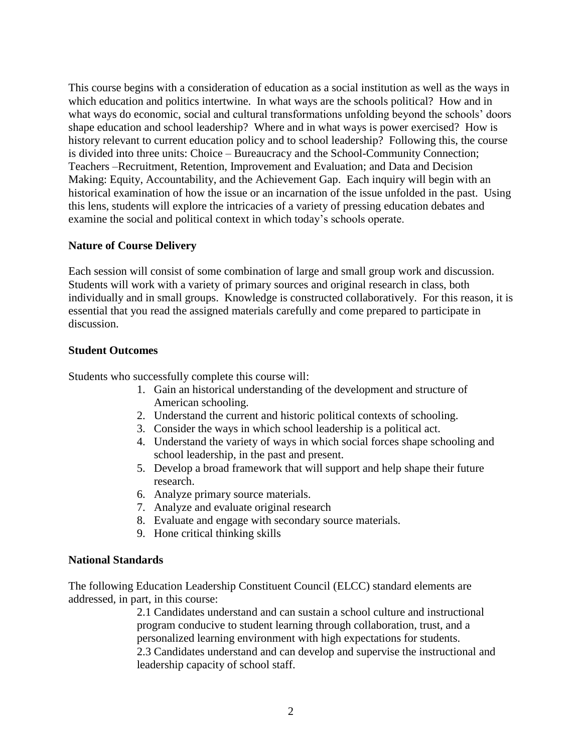This course begins with a consideration of education as a social institution as well as the ways in which education and politics intertwine. In what ways are the schools political? How and in what ways do economic, social and cultural transformations unfolding beyond the schools' doors shape education and school leadership? Where and in what ways is power exercised? How is history relevant to current education policy and to school leadership? Following this, the course is divided into three units: Choice – Bureaucracy and the School-Community Connection; Teachers –Recruitment, Retention, Improvement and Evaluation; and Data and Decision Making: Equity, Accountability, and the Achievement Gap. Each inquiry will begin with an historical examination of how the issue or an incarnation of the issue unfolded in the past. Using this lens, students will explore the intricacies of a variety of pressing education debates and examine the social and political context in which today's schools operate.

#### **Nature of Course Delivery**

Each session will consist of some combination of large and small group work and discussion. Students will work with a variety of primary sources and original research in class, both individually and in small groups. Knowledge is constructed collaboratively. For this reason, it is essential that you read the assigned materials carefully and come prepared to participate in discussion.

#### **Student Outcomes**

Students who successfully complete this course will:

- 1. Gain an historical understanding of the development and structure of American schooling.
- 2. Understand the current and historic political contexts of schooling.
- 3. Consider the ways in which school leadership is a political act.
- 4. Understand the variety of ways in which social forces shape schooling and school leadership, in the past and present.
- 5. Develop a broad framework that will support and help shape their future research.
- 6. Analyze primary source materials.
- 7. Analyze and evaluate original research
- 8. Evaluate and engage with secondary source materials.
- 9. Hone critical thinking skills

#### **National Standards**

The following Education Leadership Constituent Council (ELCC) standard elements are addressed, in part, in this course:

> 2.1 Candidates understand and can sustain a school culture and instructional program conducive to student learning through collaboration, trust, and a personalized learning environment with high expectations for students. 2.3 Candidates understand and can develop and supervise the instructional and leadership capacity of school staff.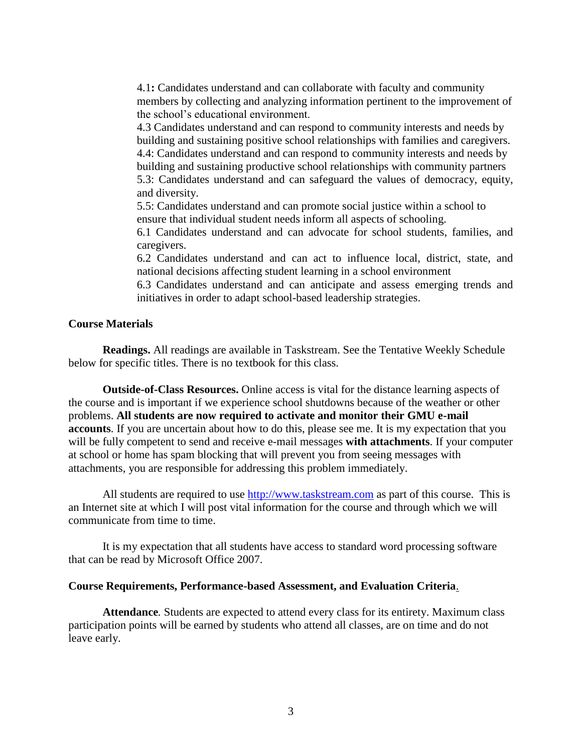4.1**:** Candidates understand and can collaborate with faculty and community members by collecting and analyzing information pertinent to the improvement of the school's educational environment.

4.3 Candidates understand and can respond to community interests and needs by building and sustaining positive school relationships with families and caregivers. 4.4: Candidates understand and can respond to community interests and needs by building and sustaining productive school relationships with community partners 5.3: Candidates understand and can safeguard the values of democracy, equity, and diversity.

5.5: Candidates understand and can promote social justice within a school to ensure that individual student needs inform all aspects of schooling.

6.1 Candidates understand and can advocate for school students, families, and caregivers.

6.2 Candidates understand and can act to influence local, district, state, and national decisions affecting student learning in a school environment

6.3 Candidates understand and can anticipate and assess emerging trends and initiatives in order to adapt school-based leadership strategies.

#### **Course Materials**

**Readings.** All readings are available in Taskstream. See the Tentative Weekly Schedule below for specific titles. There is no textbook for this class.

**Outside-of-Class Resources.** Online access is vital for the distance learning aspects of the course and is important if we experience school shutdowns because of the weather or other problems. **All students are now required to activate and monitor their GMU e-mail accounts**. If you are uncertain about how to do this, please see me. It is my expectation that you will be fully competent to send and receive e-mail messages **with attachments**. If your computer at school or home has spam blocking that will prevent you from seeing messages with attachments, you are responsible for addressing this problem immediately.

All students are required to use [http://www.taskstream.com](http://www.taskstream.com/) as part of this course. This is an Internet site at which I will post vital information for the course and through which we will communicate from time to time.

It is my expectation that all students have access to standard word processing software that can be read by Microsoft Office 2007.

#### **Course Requirements, Performance-based Assessment, and Evaluation Criteria**.

**Attendance***.* Students are expected to attend every class for its entirety. Maximum class participation points will be earned by students who attend all classes, are on time and do not leave early.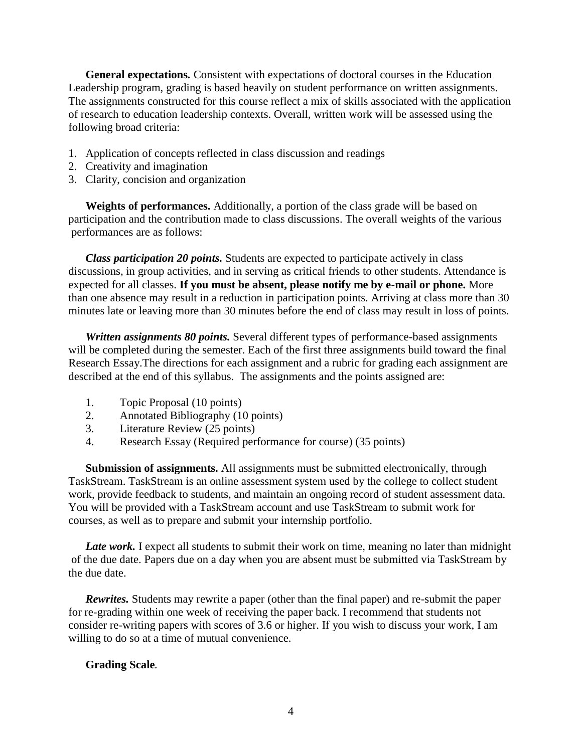**General expectations***.* Consistent with expectations of doctoral courses in the Education Leadership program, grading is based heavily on student performance on written assignments. The assignments constructed for this course reflect a mix of skills associated with the application of research to education leadership contexts. Overall, written work will be assessed using the following broad criteria:

- 1. Application of concepts reflected in class discussion and readings
- 2. Creativity and imagination
- 3. Clarity, concision and organization

**Weights of performances.** Additionally, a portion of the class grade will be based on participation and the contribution made to class discussions. The overall weights of the various performances are as follows:

*Class participation 20 points.* Students are expected to participate actively in class discussions, in group activities, and in serving as critical friends to other students. Attendance is expected for all classes. **If you must be absent, please notify me by e-mail or phone.** More than one absence may result in a reduction in participation points. Arriving at class more than 30 minutes late or leaving more than 30 minutes before the end of class may result in loss of points.

*Written assignments 80 points.* Several different types of performance-based assignments will be completed during the semester. Each of the first three assignments build toward the final Research Essay.The directions for each assignment and a rubric for grading each assignment are described at the end of this syllabus. The assignments and the points assigned are:

- 1. Topic Proposal (10 points)
- 2. Annotated Bibliography (10 points)
- 3. Literature Review (25 points)
- 4. Research Essay (Required performance for course) (35 points)

**Submission of assignments.** All assignments must be submitted electronically, through TaskStream. TaskStream is an online assessment system used by the college to collect student work, provide feedback to students, and maintain an ongoing record of student assessment data. You will be provided with a TaskStream account and use TaskStream to submit work for courses, as well as to prepare and submit your internship portfolio.

Late work. I expect all students to submit their work on time, meaning no later than midnight of the due date. Papers due on a day when you are absent must be submitted via TaskStream by the due date.

*Rewrites.* Students may rewrite a paper (other than the final paper) and re-submit the paper for re-grading within one week of receiving the paper back. I recommend that students not consider re-writing papers with scores of 3.6 or higher. If you wish to discuss your work, I am willing to do so at a time of mutual convenience.

#### **Grading Scale***.*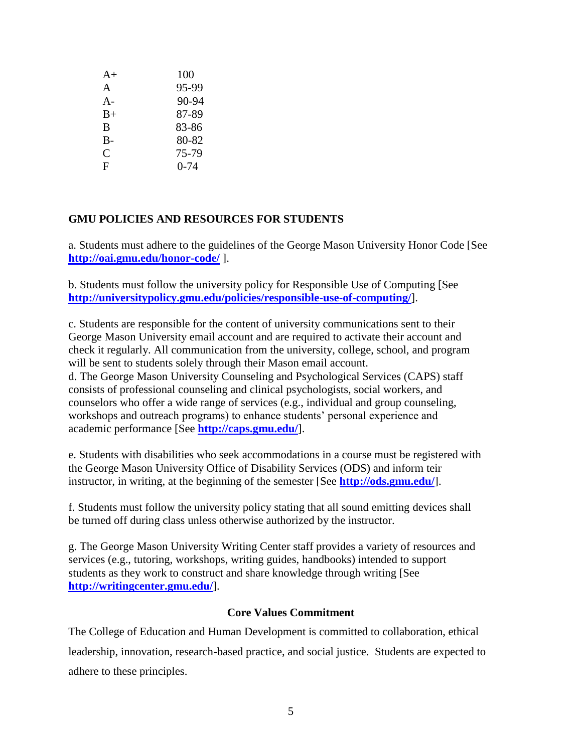| $A+$         | 100      |
|--------------|----------|
| A            | 95-99    |
| $A -$        | 90-94    |
| $B+$         | 87-89    |
| B            | 83-86    |
| $B -$        | 80-82    |
| $\mathsf{C}$ | 75-79    |
| F            | $0 - 74$ |

### **GMU POLICIES AND RESOURCES FOR STUDENTS**

a. Students must adhere to the guidelines of the George Mason University Honor Code [See **<http://oai.gmu.edu/honor-code/>** ].

b. Students must follow the university policy for Responsible Use of Computing [See **<http://universitypolicy.gmu.edu/policies/responsible-use-of-computing/>**].

c. Students are responsible for the content of university communications sent to their George Mason University email account and are required to activate their account and check it regularly. All communication from the university, college, school, and program will be sent to students solely through their Mason email account. d. The George Mason University Counseling and Psychological Services (CAPS) staff consists of professional counseling and clinical psychologists, social workers, and counselors who offer a wide range of services (e.g., individual and group counseling, workshops and outreach programs) to enhance students' personal experience and academic performance [See **<http://caps.gmu.edu/>**].

e. Students with disabilities who seek accommodations in a course must be registered with the George Mason University Office of Disability Services (ODS) and inform teir instructor, in writing, at the beginning of the semester [See **<http://ods.gmu.edu/>**].

f. Students must follow the university policy stating that all sound emitting devices shall be turned off during class unless otherwise authorized by the instructor.

g. The George Mason University Writing Center staff provides a variety of resources and services (e.g., tutoring, workshops, writing guides, handbooks) intended to support students as they work to construct and share knowledge through writing [See **<http://writingcenter.gmu.edu/>**].

#### **Core Values Commitment**

The College of Education and Human Development is committed to collaboration, ethical leadership, innovation, research-based practice, and social justice. Students are expected to adhere to these principles.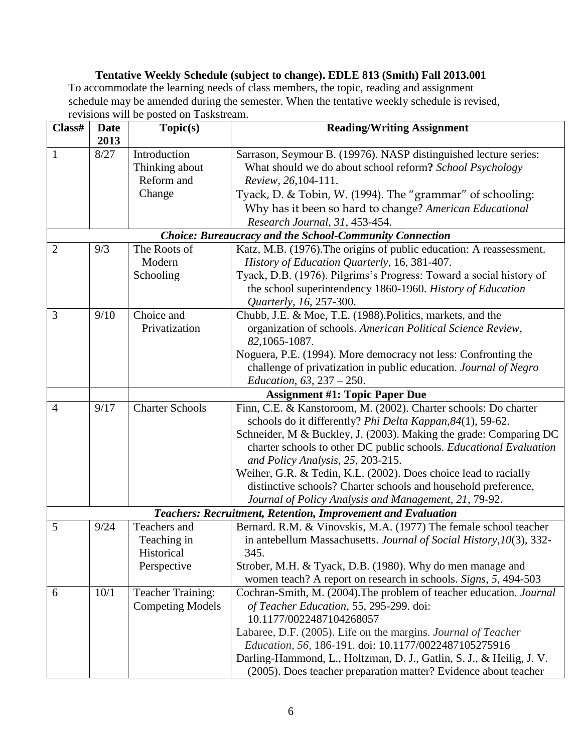## **Tentative Weekly Schedule (subject to change). EDLE 813 (Smith) Fall 2013.001**

To accommodate the learning needs of class members, the topic, reading and assignment schedule may be amended during the semester. When the tentative weekly schedule is revised, revisions will be posted on Taskstream.

| Class#         | <b>Date</b> | Topic(s)                 | <b>Reading/Writing Assignment</b>                                    |  |  |
|----------------|-------------|--------------------------|----------------------------------------------------------------------|--|--|
|                | 2013        |                          |                                                                      |  |  |
| $\mathbf{1}$   | 8/27        | Introduction             | Sarrason, Seymour B. (19976). NASP distinguished lecture series:     |  |  |
|                |             | Thinking about           | What should we do about school reform? School Psychology             |  |  |
|                |             | Reform and               | Review, 26,104-111.                                                  |  |  |
|                |             | Change                   | Tyack, D. & Tobin, W. (1994). The "grammar" of schooling:            |  |  |
|                |             |                          | Why has it been so hard to change? American Educational              |  |  |
|                |             |                          | Research Journal, 31, 453-454.                                       |  |  |
|                |             |                          | <b>Choice: Bureaucracy and the School-Community Connection</b>       |  |  |
| $\overline{2}$ | 9/3         | The Roots of             | Katz, M.B. (1976). The origins of public education: A reassessment.  |  |  |
|                |             | Modern                   | History of Education Quarterly, 16, 381-407.                         |  |  |
|                |             | Schooling                | Tyack, D.B. (1976). Pilgrims's Progress: Toward a social history of  |  |  |
|                |             |                          | the school superintendency 1860-1960. History of Education           |  |  |
|                |             |                          | Quarterly, 16, 257-300.                                              |  |  |
| 3              | 9/10        | Choice and               | Chubb, J.E. & Moe, T.E. (1988). Politics, markets, and the           |  |  |
|                |             | Privatization            | organization of schools. American Political Science Review,          |  |  |
|                |             |                          | 82, 1065-1087.                                                       |  |  |
|                |             |                          | Noguera, P.E. (1994). More democracy not less: Confronting the       |  |  |
|                |             |                          | challenge of privatization in public education. Journal of Negro     |  |  |
|                |             |                          | <i>Education,</i> $63, 237 - 250$ .                                  |  |  |
|                |             |                          | <b>Assignment #1: Topic Paper Due</b>                                |  |  |
| $\overline{4}$ | 9/17        | <b>Charter Schools</b>   | Finn, C.E. & Kanstoroom, M. (2002). Charter schools: Do charter      |  |  |
|                |             |                          | schools do it differently? Phi Delta Kappan, 84(1), 59-62.           |  |  |
|                |             |                          | Schneider, M & Buckley, J. (2003). Making the grade: Comparing DC    |  |  |
|                |             |                          | charter schools to other DC public schools. Educational Evaluation   |  |  |
|                |             |                          | and Policy Analysis, 25, 203-215.                                    |  |  |
|                |             |                          | Weiher, G.R. & Tedin, K.L. (2002). Does choice lead to racially      |  |  |
|                |             |                          | distinctive schools? Charter schools and household preference,       |  |  |
|                |             |                          | Journal of Policy Analysis and Management, 21, 79-92.                |  |  |
|                |             |                          | <b>Teachers: Recruitment, Retention, Improvement and Evaluation</b>  |  |  |
| 5              | 9/24        | Teachers and             | Bernard. R.M. & Vinovskis, M.A. (1977) The female school teacher     |  |  |
|                |             | Teaching in              | in antebellum Massachusetts. Journal of Social History, 10(3), 332-  |  |  |
|                |             | Historical               | 345.                                                                 |  |  |
|                |             | Perspective              | Strober, M.H. & Tyack, D.B. (1980). Why do men manage and            |  |  |
|                |             |                          | women teach? A report on research in schools. Signs, 5, 494-503      |  |  |
| 6              | 10/1        | <b>Teacher Training:</b> | Cochran-Smith, M. (2004). The problem of teacher education. Journal  |  |  |
|                |             | <b>Competing Models</b>  | of Teacher Education, 55, 295-299. doi:                              |  |  |
|                |             |                          | 10.1177/0022487104268057                                             |  |  |
|                |             |                          | Labaree, D.F. (2005). Life on the margins. Journal of Teacher        |  |  |
|                |             |                          | Education, 56, 186-191. doi: 10.1177/0022487105275916                |  |  |
|                |             |                          | Darling-Hammond, L., Holtzman, D. J., Gatlin, S. J., & Heilig, J. V. |  |  |
|                |             |                          | (2005). Does teacher preparation matter? Evidence about teacher      |  |  |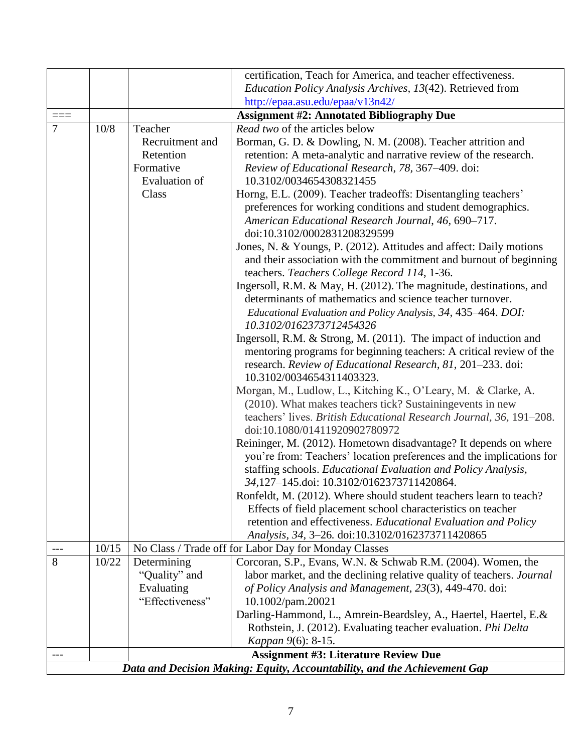|                                                                           |       |                                                                            | certification, Teach for America, and teacher effectiveness.                                                                                                                                                                                                                                                                                                                                                                                                                                                                                                                                                                                                                                                                                                                                                                                                                                                                                                                                                                                                                                                                                                                                                                                                                                                        |  |  |  |
|---------------------------------------------------------------------------|-------|----------------------------------------------------------------------------|---------------------------------------------------------------------------------------------------------------------------------------------------------------------------------------------------------------------------------------------------------------------------------------------------------------------------------------------------------------------------------------------------------------------------------------------------------------------------------------------------------------------------------------------------------------------------------------------------------------------------------------------------------------------------------------------------------------------------------------------------------------------------------------------------------------------------------------------------------------------------------------------------------------------------------------------------------------------------------------------------------------------------------------------------------------------------------------------------------------------------------------------------------------------------------------------------------------------------------------------------------------------------------------------------------------------|--|--|--|
|                                                                           |       |                                                                            | Education Policy Analysis Archives, 13(42). Retrieved from                                                                                                                                                                                                                                                                                                                                                                                                                                                                                                                                                                                                                                                                                                                                                                                                                                                                                                                                                                                                                                                                                                                                                                                                                                                          |  |  |  |
|                                                                           |       |                                                                            | http://epaa.asu.edu/epaa/v13n42/                                                                                                                                                                                                                                                                                                                                                                                                                                                                                                                                                                                                                                                                                                                                                                                                                                                                                                                                                                                                                                                                                                                                                                                                                                                                                    |  |  |  |
| $===$                                                                     |       |                                                                            | <b>Assignment #2: Annotated Bibliography Due</b>                                                                                                                                                                                                                                                                                                                                                                                                                                                                                                                                                                                                                                                                                                                                                                                                                                                                                                                                                                                                                                                                                                                                                                                                                                                                    |  |  |  |
| 7                                                                         | 10/8  | Teacher                                                                    | Read two of the articles below                                                                                                                                                                                                                                                                                                                                                                                                                                                                                                                                                                                                                                                                                                                                                                                                                                                                                                                                                                                                                                                                                                                                                                                                                                                                                      |  |  |  |
|                                                                           |       | Recruitment and<br>Retention<br>Formative<br><b>Evaluation</b> of<br>Class | Borman, G. D. & Dowling, N. M. (2008). Teacher attrition and<br>retention: A meta-analytic and narrative review of the research.<br>Review of Educational Research, 78, 367-409. doi:<br>10.3102/0034654308321455<br>Horng, E.L. (2009). Teacher tradeoffs: Disentangling teachers'<br>preferences for working conditions and student demographics.<br>American Educational Research Journal, 46, 690-717.<br>doi:10.3102/0002831208329599<br>Jones, N. & Youngs, P. (2012). Attitudes and affect: Daily motions<br>and their association with the commitment and burnout of beginning<br>teachers. Teachers College Record 114, 1-36.<br>Ingersoll, R.M. & May, H. (2012). The magnitude, destinations, and<br>determinants of mathematics and science teacher turnover.<br>Educational Evaluation and Policy Analysis, 34, 435-464. DOI:<br>10.3102/0162373712454326<br>Ingersoll, R.M. & Strong, M. (2011). The impact of induction and<br>mentoring programs for beginning teachers: A critical review of the<br>research. Review of Educational Research, 81, 201-233. doi:<br>10.3102/0034654311403323.<br>Morgan, M., Ludlow, L., Kitching K., O'Leary, M. & Clarke, A.<br>(2010). What makes teachers tick? Sustaining events in new<br>teachers' lives. British Educational Research Journal, 36, 191-208. |  |  |  |
|                                                                           |       |                                                                            | doi:10.1080/01411920902780972<br>Reininger, M. (2012). Hometown disadvantage? It depends on where<br>you're from: Teachers' location preferences and the implications for<br>staffing schools. Educational Evaluation and Policy Analysis,<br>34,127-145.doi: 10.3102/0162373711420864.                                                                                                                                                                                                                                                                                                                                                                                                                                                                                                                                                                                                                                                                                                                                                                                                                                                                                                                                                                                                                             |  |  |  |
|                                                                           |       |                                                                            | Ronfeldt, M. (2012). Where should student teachers learn to teach?                                                                                                                                                                                                                                                                                                                                                                                                                                                                                                                                                                                                                                                                                                                                                                                                                                                                                                                                                                                                                                                                                                                                                                                                                                                  |  |  |  |
|                                                                           |       |                                                                            | Effects of field placement school characteristics on teacher                                                                                                                                                                                                                                                                                                                                                                                                                                                                                                                                                                                                                                                                                                                                                                                                                                                                                                                                                                                                                                                                                                                                                                                                                                                        |  |  |  |
|                                                                           |       |                                                                            | retention and effectiveness. Educational Evaluation and Policy                                                                                                                                                                                                                                                                                                                                                                                                                                                                                                                                                                                                                                                                                                                                                                                                                                                                                                                                                                                                                                                                                                                                                                                                                                                      |  |  |  |
|                                                                           |       |                                                                            | Analysis, 34, 3-26. doi:10.3102/0162373711420865                                                                                                                                                                                                                                                                                                                                                                                                                                                                                                                                                                                                                                                                                                                                                                                                                                                                                                                                                                                                                                                                                                                                                                                                                                                                    |  |  |  |
| $---$                                                                     | 10/15 |                                                                            | No Class / Trade off for Labor Day for Monday Classes                                                                                                                                                                                                                                                                                                                                                                                                                                                                                                                                                                                                                                                                                                                                                                                                                                                                                                                                                                                                                                                                                                                                                                                                                                                               |  |  |  |
| 8                                                                         | 10/22 | Determining                                                                | Corcoran, S.P., Evans, W.N. & Schwab R.M. (2004). Women, the                                                                                                                                                                                                                                                                                                                                                                                                                                                                                                                                                                                                                                                                                                                                                                                                                                                                                                                                                                                                                                                                                                                                                                                                                                                        |  |  |  |
|                                                                           |       | "Quality" and                                                              | labor market, and the declining relative quality of teachers. Journal                                                                                                                                                                                                                                                                                                                                                                                                                                                                                                                                                                                                                                                                                                                                                                                                                                                                                                                                                                                                                                                                                                                                                                                                                                               |  |  |  |
|                                                                           |       | Evaluating                                                                 | of Policy Analysis and Management, 23(3), 449-470. doi:                                                                                                                                                                                                                                                                                                                                                                                                                                                                                                                                                                                                                                                                                                                                                                                                                                                                                                                                                                                                                                                                                                                                                                                                                                                             |  |  |  |
|                                                                           |       | "Effectiveness"                                                            | 10.1002/pam.20021<br>Darling-Hammond, L., Amrein-Beardsley, A., Haertel, Haertel, E.&                                                                                                                                                                                                                                                                                                                                                                                                                                                                                                                                                                                                                                                                                                                                                                                                                                                                                                                                                                                                                                                                                                                                                                                                                               |  |  |  |
|                                                                           |       |                                                                            | Rothstein, J. (2012). Evaluating teacher evaluation. Phi Delta                                                                                                                                                                                                                                                                                                                                                                                                                                                                                                                                                                                                                                                                                                                                                                                                                                                                                                                                                                                                                                                                                                                                                                                                                                                      |  |  |  |
|                                                                           |       |                                                                            | Kappan 9(6): 8-15.                                                                                                                                                                                                                                                                                                                                                                                                                                                                                                                                                                                                                                                                                                                                                                                                                                                                                                                                                                                                                                                                                                                                                                                                                                                                                                  |  |  |  |
| $---$                                                                     |       |                                                                            | <b>Assignment #3: Literature Review Due</b>                                                                                                                                                                                                                                                                                                                                                                                                                                                                                                                                                                                                                                                                                                                                                                                                                                                                                                                                                                                                                                                                                                                                                                                                                                                                         |  |  |  |
| Data and Decision Making: Equity, Accountability, and the Achievement Gap |       |                                                                            |                                                                                                                                                                                                                                                                                                                                                                                                                                                                                                                                                                                                                                                                                                                                                                                                                                                                                                                                                                                                                                                                                                                                                                                                                                                                                                                     |  |  |  |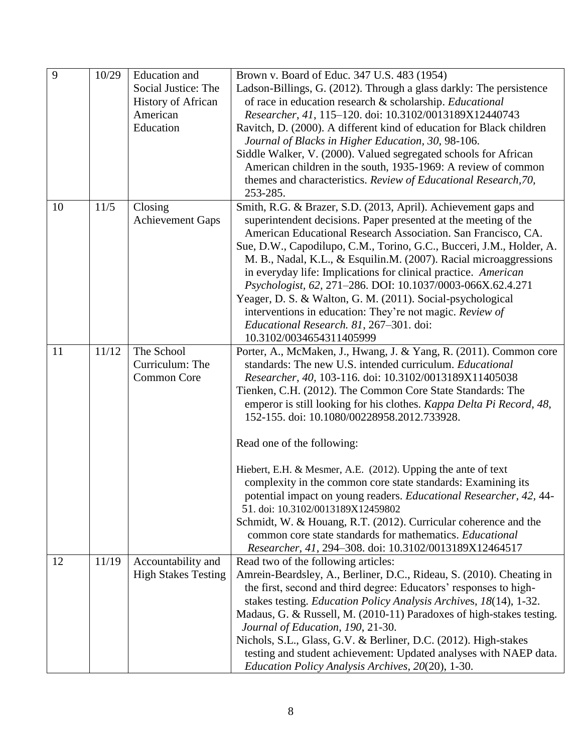| 9  | 10/29 | <b>Education</b> and       | Brown v. Board of Educ. 347 U.S. 483 (1954)                          |
|----|-------|----------------------------|----------------------------------------------------------------------|
|    |       | Social Justice: The        | Ladson-Billings, G. (2012). Through a glass darkly: The persistence  |
|    |       | <b>History of African</b>  | of race in education research & scholarship. Educational             |
|    |       | American                   | Researcher, 41, 115-120. doi: 10.3102/0013189X12440743               |
|    |       | Education                  | Ravitch, D. (2000). A different kind of education for Black children |
|    |       |                            | Journal of Blacks in Higher Education, 30, 98-106.                   |
|    |       |                            | Siddle Walker, V. (2000). Valued segregated schools for African      |
|    |       |                            | American children in the south, 1935-1969: A review of common        |
|    |       |                            | themes and characteristics. Review of Educational Research, 70,      |
|    |       |                            | 253-285.                                                             |
| 10 | 11/5  | Closing                    | Smith, R.G. & Brazer, S.D. (2013, April). Achievement gaps and       |
|    |       | <b>Achievement Gaps</b>    | superintendent decisions. Paper presented at the meeting of the      |
|    |       |                            | American Educational Research Association. San Francisco, CA.        |
|    |       |                            | Sue, D.W., Capodilupo, C.M., Torino, G.C., Bucceri, J.M., Holder, A. |
|    |       |                            | M. B., Nadal, K.L., & Esquilin.M. (2007). Racial microaggressions    |
|    |       |                            | in everyday life: Implications for clinical practice. American       |
|    |       |                            | Psychologist, 62, 271-286. DOI: 10.1037/0003-066X.62.4.271           |
|    |       |                            | Yeager, D. S. & Walton, G. M. (2011). Social-psychological           |
|    |       |                            | interventions in education: They're not magic. Review of             |
|    |       |                            | Educational Research. 81, 267-301. doi:                              |
|    |       |                            | 10.3102/0034654311405999                                             |
| 11 | 11/12 | The School                 | Porter, A., McMaken, J., Hwang, J. & Yang, R. (2011). Common core    |
|    |       | Curriculum: The            | standards: The new U.S. intended curriculum. <i>Educational</i>      |
|    |       | <b>Common Core</b>         | Researcher, 40, 103-116. doi: 10.3102/0013189X11405038               |
|    |       |                            | Tienken, C.H. (2012). The Common Core State Standards: The           |
|    |       |                            | emperor is still looking for his clothes. Kappa Delta Pi Record, 48, |
|    |       |                            | 152-155. doi: 10.1080/00228958.2012.733928.                          |
|    |       |                            | Read one of the following:                                           |
|    |       |                            |                                                                      |
|    |       |                            | Hiebert, E.H. & Mesmer, A.E. (2012). Upping the ante of text         |
|    |       |                            | complexity in the common core state standards: Examining its         |
|    |       |                            | potential impact on young readers. Educational Researcher, 42, 44-   |
|    |       |                            | 51. doi: 10.3102/0013189X12459802                                    |
|    |       |                            | Schmidt, W. & Houang, R.T. (2012). Curricular coherence and the      |
|    |       |                            | common core state standards for mathematics. Educational             |
|    |       |                            | Researcher, 41, 294-308. doi: 10.3102/0013189X12464517               |
| 12 | 11/19 | Accountability and         | Read two of the following articles:                                  |
|    |       | <b>High Stakes Testing</b> | Amrein-Beardsley, A., Berliner, D.C., Rideau, S. (2010). Cheating in |
|    |       |                            | the first, second and third degree: Educators' responses to high-    |
|    |       |                            | stakes testing. Education Policy Analysis Archives, 18(14), 1-32.    |
|    |       |                            | Madaus, G. & Russell, M. (2010-11) Paradoxes of high-stakes testing. |
|    |       |                            | Journal of Education, 190, 21-30.                                    |
|    |       |                            | Nichols, S.L., Glass, G.V. & Berliner, D.C. (2012). High-stakes      |
|    |       |                            | testing and student achievement: Updated analyses with NAEP data.    |
|    |       |                            | Education Policy Analysis Archives, 20(20), 1-30.                    |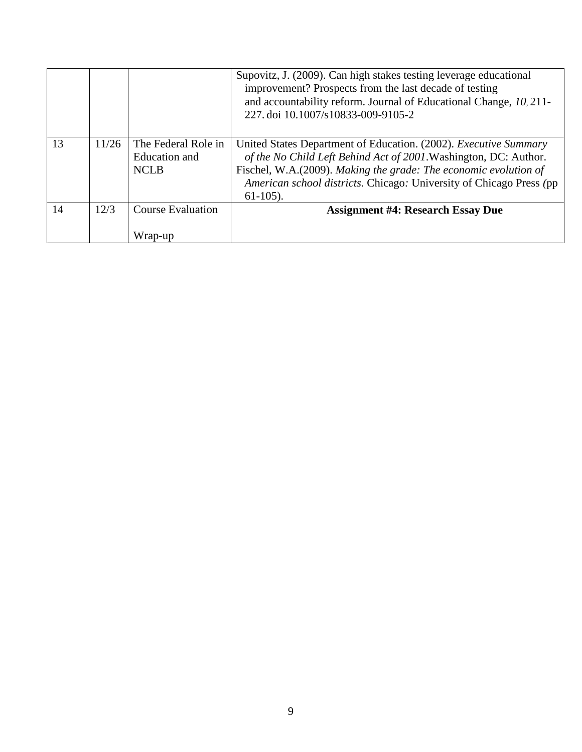|    |       |                                                            | Supovitz, J. (2009). Can high stakes testing leverage educational<br>improvement? Prospects from the last decade of testing<br>and accountability reform. Journal of Educational Change, 10, 211-<br>227. doi 10.1007/s10833-009-9105-2                                                                |
|----|-------|------------------------------------------------------------|--------------------------------------------------------------------------------------------------------------------------------------------------------------------------------------------------------------------------------------------------------------------------------------------------------|
| 13 | 11/26 | The Federal Role in<br><b>Education</b> and<br><b>NCLB</b> | United States Department of Education. (2002). <i>Executive Summary</i><br>of the No Child Left Behind Act of 2001. Washington, DC: Author.<br>Fischel, W.A.(2009). Making the grade: The economic evolution of<br>American school districts. Chicago: University of Chicago Press (pp)<br>$61-105$ ). |
| 14 | 12/3  | <b>Course Evaluation</b><br>Wrap-up                        | <b>Assignment #4: Research Essay Due</b>                                                                                                                                                                                                                                                               |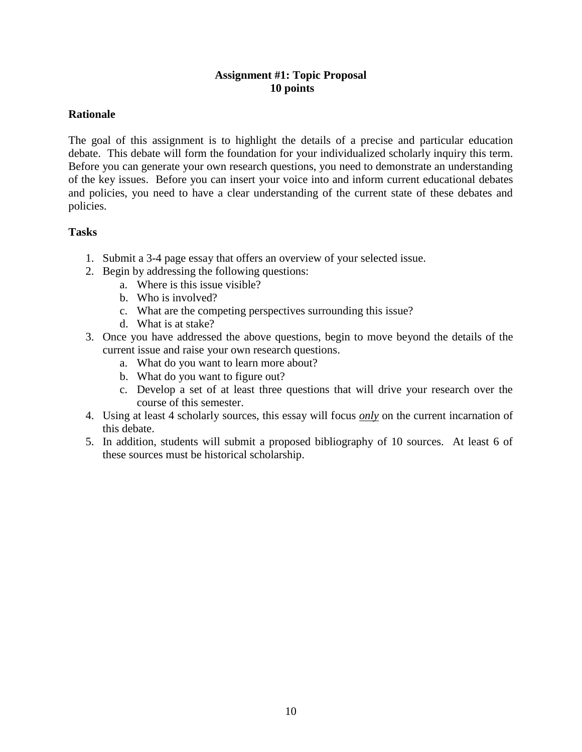### **Assignment #1: Topic Proposal 10 points**

### **Rationale**

The goal of this assignment is to highlight the details of a precise and particular education debate. This debate will form the foundation for your individualized scholarly inquiry this term. Before you can generate your own research questions, you need to demonstrate an understanding of the key issues. Before you can insert your voice into and inform current educational debates and policies, you need to have a clear understanding of the current state of these debates and policies.

- 1. Submit a 3-4 page essay that offers an overview of your selected issue.
- 2. Begin by addressing the following questions:
	- a. Where is this issue visible?
	- b. Who is involved?
	- c. What are the competing perspectives surrounding this issue?
	- d. What is at stake?
- 3. Once you have addressed the above questions, begin to move beyond the details of the current issue and raise your own research questions.
	- a. What do you want to learn more about?
	- b. What do you want to figure out?
	- c. Develop a set of at least three questions that will drive your research over the course of this semester.
- 4. Using at least 4 scholarly sources, this essay will focus *only* on the current incarnation of this debate.
- 5. In addition, students will submit a proposed bibliography of 10 sources. At least 6 of these sources must be historical scholarship.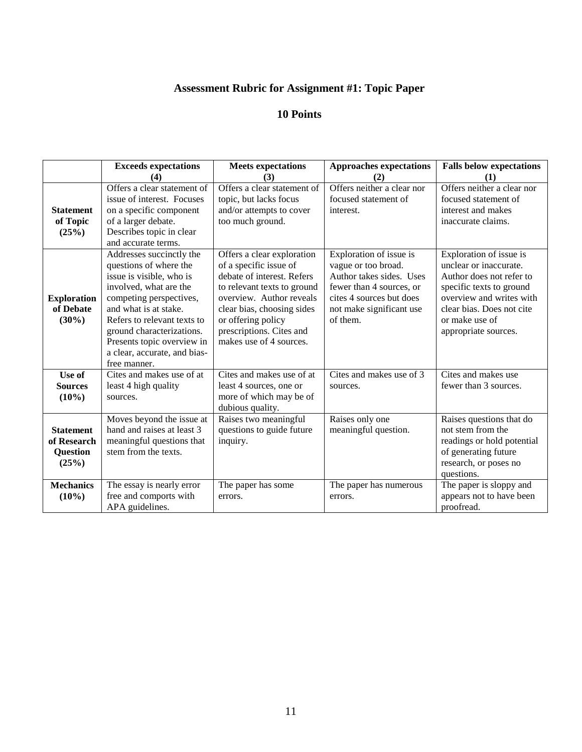# **Assessment Rubric for Assignment #1: Topic Paper**

|                                                             | <b>Exceeds expectations</b><br>(4)                                                                                                                                                                                                                                                                     | <b>Meets expectations</b><br>(3)                                                                                                                                                                                                                         | <b>Approaches expectations</b><br>(2)                                                                                                                                      | <b>Falls below expectations</b><br>(1)                                                                                                                                                                       |
|-------------------------------------------------------------|--------------------------------------------------------------------------------------------------------------------------------------------------------------------------------------------------------------------------------------------------------------------------------------------------------|----------------------------------------------------------------------------------------------------------------------------------------------------------------------------------------------------------------------------------------------------------|----------------------------------------------------------------------------------------------------------------------------------------------------------------------------|--------------------------------------------------------------------------------------------------------------------------------------------------------------------------------------------------------------|
| <b>Statement</b><br>of Topic<br>(25%)                       | Offers a clear statement of<br>issue of interest. Focuses<br>on a specific component<br>of a larger debate.<br>Describes topic in clear<br>and accurate terms.                                                                                                                                         | Offers a clear statement of<br>topic, but lacks focus<br>and/or attempts to cover<br>too much ground.                                                                                                                                                    | Offers neither a clear nor<br>focused statement of<br>interest.                                                                                                            | Offers neither a clear nor<br>focused statement of<br>interest and makes<br>inaccurate claims.                                                                                                               |
| <b>Exploration</b><br>of Debate<br>$(30\%)$                 | Addresses succinctly the<br>questions of where the<br>issue is visible, who is<br>involved, what are the<br>competing perspectives,<br>and what is at stake.<br>Refers to relevant texts to<br>ground characterizations.<br>Presents topic overview in<br>a clear, accurate, and bias-<br>free manner. | Offers a clear exploration<br>of a specific issue of<br>debate of interest. Refers<br>to relevant texts to ground<br>overview. Author reveals<br>clear bias, choosing sides<br>or offering policy<br>prescriptions. Cites and<br>makes use of 4 sources. | Exploration of issue is<br>vague or too broad.<br>Author takes sides. Uses<br>fewer than 4 sources, or<br>cites 4 sources but does<br>not make significant use<br>of them. | Exploration of issue is<br>unclear or inaccurate.<br>Author does not refer to<br>specific texts to ground<br>overview and writes with<br>clear bias. Does not cite<br>or make use of<br>appropriate sources. |
| Use of<br><b>Sources</b><br>$(10\%)$                        | Cites and makes use of at<br>least 4 high quality<br>sources.                                                                                                                                                                                                                                          | Cites and makes use of at<br>least 4 sources, one or<br>more of which may be of<br>dubious quality.                                                                                                                                                      | Cites and makes use of 3<br>sources.                                                                                                                                       | Cites and makes use<br>fewer than 3 sources.                                                                                                                                                                 |
| <b>Statement</b><br>of Research<br><b>Question</b><br>(25%) | Moves beyond the issue at<br>hand and raises at least 3<br>meaningful questions that<br>stem from the texts.                                                                                                                                                                                           | Raises two meaningful<br>questions to guide future<br>inquiry.                                                                                                                                                                                           | Raises only one<br>meaningful question.                                                                                                                                    | Raises questions that do<br>not stem from the<br>readings or hold potential<br>of generating future<br>research, or poses no<br>questions.                                                                   |
| <b>Mechanics</b><br>$(10\%)$                                | The essay is nearly error<br>free and comports with<br>APA guidelines.                                                                                                                                                                                                                                 | The paper has some<br>errors.                                                                                                                                                                                                                            | The paper has numerous<br>errors.                                                                                                                                          | The paper is sloppy and<br>appears not to have been<br>proofread.                                                                                                                                            |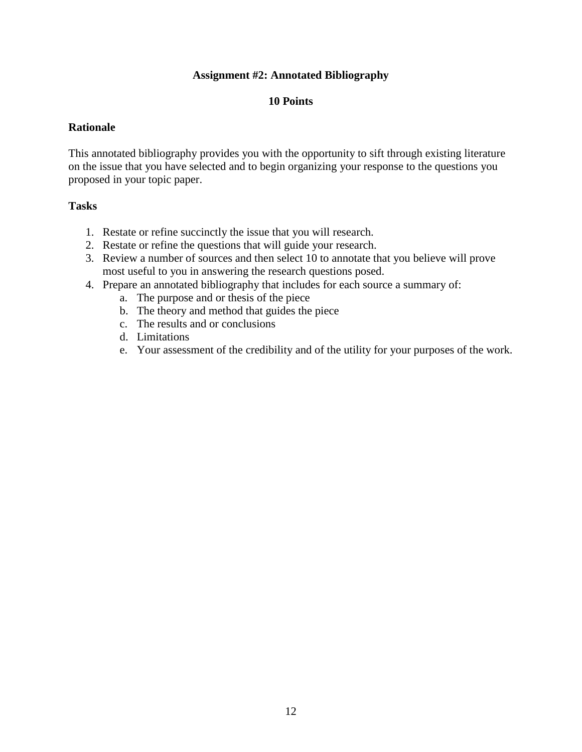#### **Assignment #2: Annotated Bibliography**

#### **10 Points**

#### **Rationale**

This annotated bibliography provides you with the opportunity to sift through existing literature on the issue that you have selected and to begin organizing your response to the questions you proposed in your topic paper.

- 1. Restate or refine succinctly the issue that you will research.
- 2. Restate or refine the questions that will guide your research.
- 3. Review a number of sources and then select 10 to annotate that you believe will prove most useful to you in answering the research questions posed.
- 4. Prepare an annotated bibliography that includes for each source a summary of:
	- a. The purpose and or thesis of the piece
	- b. The theory and method that guides the piece
	- c. The results and or conclusions
	- d. Limitations
	- e. Your assessment of the credibility and of the utility for your purposes of the work.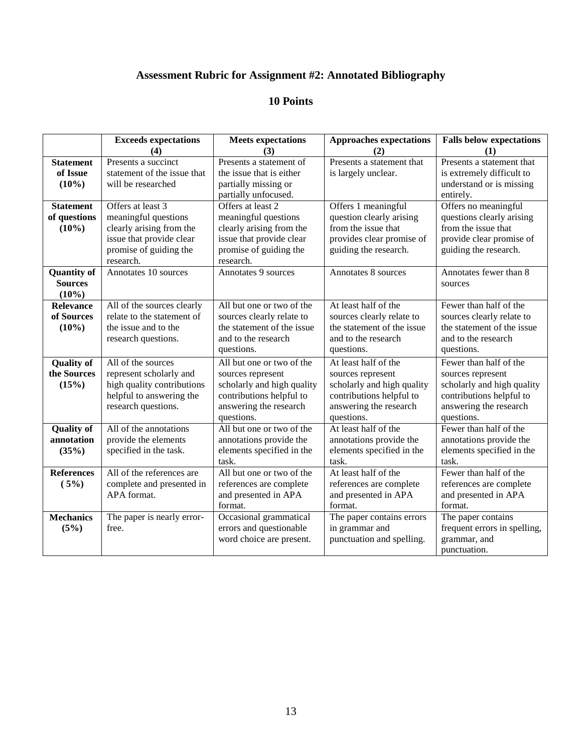# **Assessment Rubric for Assignment #2: Annotated Bibliography**

|                    | <b>Exceeds expectations</b> | <b>Meets expectations</b>  | <b>Approaches expectations</b> | <b>Falls below expectations</b> |
|--------------------|-----------------------------|----------------------------|--------------------------------|---------------------------------|
|                    | (4)                         | (3)                        | (2)                            | (1)                             |
| <b>Statement</b>   | Presents a succinct         | Presents a statement of    | Presents a statement that      | Presents a statement that       |
| of Issue           | statement of the issue that | the issue that is either   | is largely unclear.            | is extremely difficult to       |
| $(10\%)$           | will be researched          | partially missing or       |                                | understand or is missing        |
|                    |                             | partially unfocused.       |                                | entirely.                       |
| <b>Statement</b>   | Offers at least 3           | Offers at least 2          | Offers 1 meaningful            | Offers no meaningful            |
| of questions       | meaningful questions        | meaningful questions       | question clearly arising       | questions clearly arising       |
| $(10\%)$           | clearly arising from the    | clearly arising from the   | from the issue that            | from the issue that             |
|                    | issue that provide clear    | issue that provide clear   | provides clear promise of      | provide clear promise of        |
|                    | promise of guiding the      | promise of guiding the     | guiding the research.          | guiding the research.           |
|                    | research.                   | research.                  |                                |                                 |
| <b>Quantity of</b> | Annotates 10 sources        | Annotates 9 sources        | Annotates 8 sources            | Annotates fewer than 8          |
| <b>Sources</b>     |                             |                            |                                | sources                         |
| $(10\%)$           |                             |                            |                                |                                 |
| <b>Relevance</b>   | All of the sources clearly  | All but one or two of the  | At least half of the           | Fewer than half of the          |
| of Sources         | relate to the statement of  | sources clearly relate to  | sources clearly relate to      | sources clearly relate to       |
| $(10\%)$           | the issue and to the        | the statement of the issue | the statement of the issue     | the statement of the issue      |
|                    | research questions.         | and to the research        | and to the research            | and to the research             |
|                    |                             | questions.                 | questions.                     | questions.                      |
| <b>Quality of</b>  | All of the sources          | All but one or two of the  | At least half of the           | Fewer than half of the          |
| the Sources        | represent scholarly and     | sources represent          | sources represent              | sources represent               |
| (15%)              | high quality contributions  | scholarly and high quality | scholarly and high quality     | scholarly and high quality      |
|                    | helpful to answering the    | contributions helpful to   | contributions helpful to       | contributions helpful to        |
|                    | research questions.         | answering the research     | answering the research         | answering the research          |
|                    |                             | questions.                 | questions.                     | questions.                      |
| <b>Quality of</b>  | All of the annotations      | All but one or two of the  | At least half of the           | Fewer than half of the          |
| annotation         | provide the elements        | annotations provide the    | annotations provide the        | annotations provide the         |
| (35%)              | specified in the task.      | elements specified in the  | elements specified in the      | elements specified in the       |
|                    |                             | task.                      | task.                          | task.                           |
| <b>References</b>  | All of the references are   | All but one or two of the  | At least half of the           | Fewer than half of the          |
| (5%)               | complete and presented in   | references are complete    | references are complete        | references are complete         |
|                    | APA format.                 | and presented in APA       | and presented in APA           | and presented in APA            |
|                    |                             | format.                    | format.                        | format.                         |
| <b>Mechanics</b>   | The paper is nearly error-  | Occasional grammatical     | The paper contains errors      | The paper contains              |
| (5%)               | free.                       | errors and questionable    | in grammar and                 | frequent errors in spelling,    |
|                    |                             | word choice are present.   | punctuation and spelling.      | grammar, and                    |
|                    |                             |                            |                                | punctuation.                    |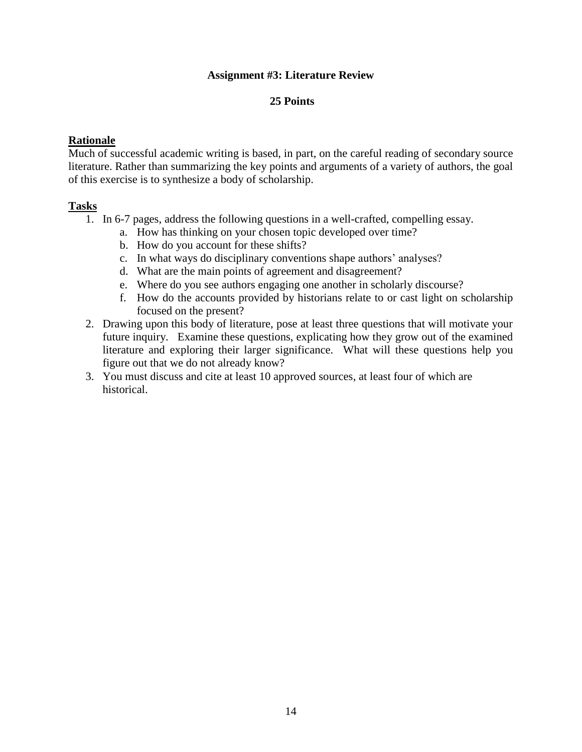#### **Assignment #3: Literature Review**

#### **25 Points**

#### **Rationale**

Much of successful academic writing is based, in part, on the careful reading of secondary source literature. Rather than summarizing the key points and arguments of a variety of authors, the goal of this exercise is to synthesize a body of scholarship.

- 1. In 6-7 pages, address the following questions in a well-crafted, compelling essay.
	- a. How has thinking on your chosen topic developed over time?
	- b. How do you account for these shifts?
	- c. In what ways do disciplinary conventions shape authors' analyses?
	- d. What are the main points of agreement and disagreement?
	- e. Where do you see authors engaging one another in scholarly discourse?
	- f. How do the accounts provided by historians relate to or cast light on scholarship focused on the present?
- 2. Drawing upon this body of literature, pose at least three questions that will motivate your future inquiry. Examine these questions, explicating how they grow out of the examined literature and exploring their larger significance. What will these questions help you figure out that we do not already know?
- 3. You must discuss and cite at least 10 approved sources, at least four of which are historical.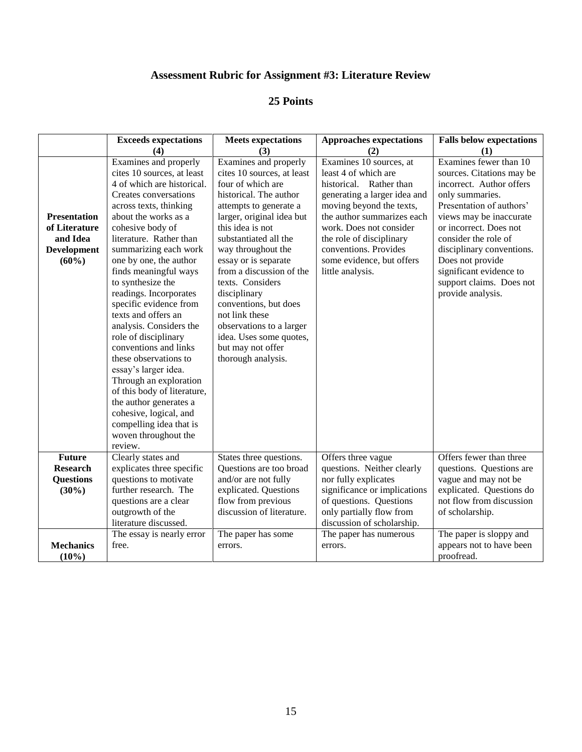# **Assessment Rubric for Assignment #3: Literature Review**

|                                                                                    | <b>Exceeds expectations</b>                                                                                                                                                                                                                                                                                                                                                                                                                                                                                                                                                                                                                                                                     | <b>Meets expectations</b>                                                                                                                                                                                                                                                                                                                                                                                                                                         | <b>Approaches expectations</b>                                                                                                                                                                                                                                                                        | <b>Falls below expectations</b>                                                                                                                                                                                                                                                                                                          |
|------------------------------------------------------------------------------------|-------------------------------------------------------------------------------------------------------------------------------------------------------------------------------------------------------------------------------------------------------------------------------------------------------------------------------------------------------------------------------------------------------------------------------------------------------------------------------------------------------------------------------------------------------------------------------------------------------------------------------------------------------------------------------------------------|-------------------------------------------------------------------------------------------------------------------------------------------------------------------------------------------------------------------------------------------------------------------------------------------------------------------------------------------------------------------------------------------------------------------------------------------------------------------|-------------------------------------------------------------------------------------------------------------------------------------------------------------------------------------------------------------------------------------------------------------------------------------------------------|------------------------------------------------------------------------------------------------------------------------------------------------------------------------------------------------------------------------------------------------------------------------------------------------------------------------------------------|
|                                                                                    | (4)                                                                                                                                                                                                                                                                                                                                                                                                                                                                                                                                                                                                                                                                                             | (3)                                                                                                                                                                                                                                                                                                                                                                                                                                                               | (2)                                                                                                                                                                                                                                                                                                   | (1)                                                                                                                                                                                                                                                                                                                                      |
| <b>Presentation</b><br>of Literature<br>and Idea<br><b>Development</b><br>$(60\%)$ | Examines and properly<br>cites 10 sources, at least<br>4 of which are historical.<br>Creates conversations<br>across texts, thinking<br>about the works as a<br>cohesive body of<br>literature. Rather than<br>summarizing each work<br>one by one, the author<br>finds meaningful ways<br>to synthesize the<br>readings. Incorporates<br>specific evidence from<br>texts and offers an<br>analysis. Considers the<br>role of disciplinary<br>conventions and links<br>these observations to<br>essay's larger idea.<br>Through an exploration<br>of this body of literature,<br>the author generates a<br>cohesive, logical, and<br>compelling idea that is<br>woven throughout the<br>review. | Examines and properly<br>cites 10 sources, at least<br>four of which are<br>historical. The author<br>attempts to generate a<br>larger, original idea but<br>this idea is not<br>substantiated all the<br>way throughout the<br>essay or is separate<br>from a discussion of the<br>texts. Considers<br>disciplinary<br>conventions, but does<br>not link these<br>observations to a larger<br>idea. Uses some quotes,<br>but may not offer<br>thorough analysis. | Examines 10 sources, at<br>least 4 of which are<br>historical. Rather than<br>generating a larger idea and<br>moving beyond the texts,<br>the author summarizes each<br>work. Does not consider<br>the role of disciplinary<br>conventions. Provides<br>some evidence, but offers<br>little analysis. | Examines fewer than 10<br>sources. Citations may be<br>incorrect. Author offers<br>only summaries.<br>Presentation of authors'<br>views may be inaccurate<br>or incorrect. Does not<br>consider the role of<br>disciplinary conventions.<br>Does not provide<br>significant evidence to<br>support claims. Does not<br>provide analysis. |
| <b>Future</b><br><b>Research</b><br><b>Questions</b><br>$(30\%)$                   | Clearly states and<br>explicates three specific<br>questions to motivate<br>further research. The<br>questions are a clear<br>outgrowth of the<br>literature discussed.                                                                                                                                                                                                                                                                                                                                                                                                                                                                                                                         | States three questions.<br>Questions are too broad<br>and/or are not fully<br>explicated. Questions<br>flow from previous<br>discussion of literature.                                                                                                                                                                                                                                                                                                            | Offers three vague<br>questions. Neither clearly<br>nor fully explicates<br>significance or implications<br>of questions. Questions<br>only partially flow from<br>discussion of scholarship.                                                                                                         | Offers fewer than three<br>questions. Questions are<br>vague and may not be<br>explicated. Questions do<br>not flow from discussion<br>of scholarship.                                                                                                                                                                                   |
| <b>Mechanics</b><br>$(10\%)$                                                       | The essay is nearly error<br>free.                                                                                                                                                                                                                                                                                                                                                                                                                                                                                                                                                                                                                                                              | The paper has some<br>errors.                                                                                                                                                                                                                                                                                                                                                                                                                                     | The paper has numerous<br>errors.                                                                                                                                                                                                                                                                     | The paper is sloppy and<br>appears not to have been<br>proofread.                                                                                                                                                                                                                                                                        |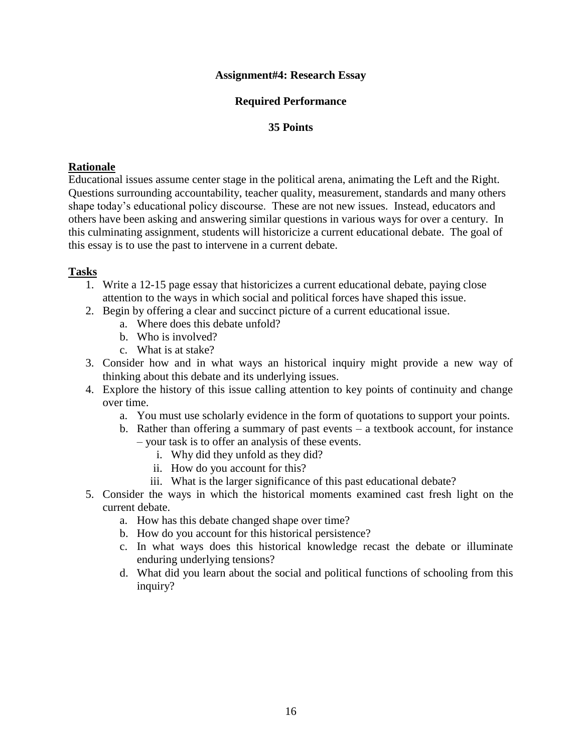#### **Assignment#4: Research Essay**

### **Required Performance**

#### **35 Points**

#### **Rationale**

Educational issues assume center stage in the political arena, animating the Left and the Right. Questions surrounding accountability, teacher quality, measurement, standards and many others shape today's educational policy discourse. These are not new issues. Instead, educators and others have been asking and answering similar questions in various ways for over a century. In this culminating assignment, students will historicize a current educational debate. The goal of this essay is to use the past to intervene in a current debate.

- 1. Write a 12-15 page essay that historicizes a current educational debate, paying close attention to the ways in which social and political forces have shaped this issue.
- 2. Begin by offering a clear and succinct picture of a current educational issue.
	- a. Where does this debate unfold?
	- b. Who is involved?
	- c. What is at stake?
- 3. Consider how and in what ways an historical inquiry might provide a new way of thinking about this debate and its underlying issues.
- 4. Explore the history of this issue calling attention to key points of continuity and change over time.
	- a. You must use scholarly evidence in the form of quotations to support your points.
	- b. Rather than offering a summary of past events a textbook account, for instance – your task is to offer an analysis of these events.
		- i. Why did they unfold as they did?
		- ii. How do you account for this?
		- iii. What is the larger significance of this past educational debate?
- 5. Consider the ways in which the historical moments examined cast fresh light on the current debate.
	- a. How has this debate changed shape over time?
	- b. How do you account for this historical persistence?
	- c. In what ways does this historical knowledge recast the debate or illuminate enduring underlying tensions?
	- d. What did you learn about the social and political functions of schooling from this inquiry?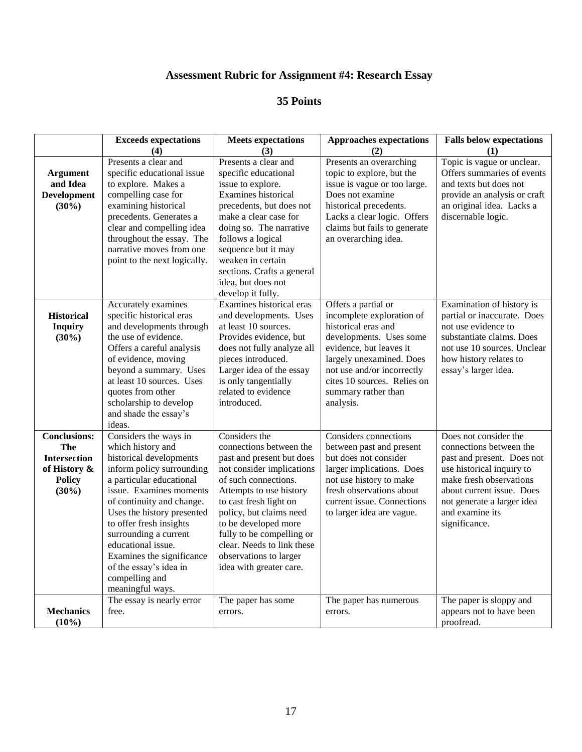# **Assessment Rubric for Assignment #4: Research Essay**

|                                                                                                       | <b>Exceeds expectations</b><br>(4)                                                                                                                                                                                                                                                                                                                                                          | <b>Meets</b> expectations<br>(3)                                                                                                                                                                                                                                                                                                                   | <b>Approaches expectations</b><br>(2)                                                                                                                                                                                                                      | <b>Falls below expectations</b><br>(1)                                                                                                                                                                                                |
|-------------------------------------------------------------------------------------------------------|---------------------------------------------------------------------------------------------------------------------------------------------------------------------------------------------------------------------------------------------------------------------------------------------------------------------------------------------------------------------------------------------|----------------------------------------------------------------------------------------------------------------------------------------------------------------------------------------------------------------------------------------------------------------------------------------------------------------------------------------------------|------------------------------------------------------------------------------------------------------------------------------------------------------------------------------------------------------------------------------------------------------------|---------------------------------------------------------------------------------------------------------------------------------------------------------------------------------------------------------------------------------------|
| <b>Argument</b><br>and Idea<br><b>Development</b><br>$(30\%)$                                         | Presents a clear and<br>specific educational issue<br>to explore. Makes a<br>compelling case for<br>examining historical<br>precedents. Generates a<br>clear and compelling idea<br>throughout the essay. The<br>narrative moves from one<br>point to the next logically.                                                                                                                   | Presents a clear and<br>specific educational<br>issue to explore.<br>Examines historical<br>precedents, but does not<br>make a clear case for<br>doing so. The narrative<br>follows a logical<br>sequence but it may<br>weaken in certain<br>sections. Crafts a general<br>idea, but does not<br>develop it fully.                                 | Presents an overarching<br>topic to explore, but the<br>issue is vague or too large.<br>Does not examine<br>historical precedents.<br>Lacks a clear logic. Offers<br>claims but fails to generate<br>an overarching idea.                                  | Topic is vague or unclear.<br>Offers summaries of events<br>and texts but does not<br>provide an analysis or craft<br>an original idea. Lacks a<br>discernable logic.                                                                 |
| <b>Historical</b><br><b>Inquiry</b><br>(30%)                                                          | Accurately examines<br>specific historical eras<br>and developments through<br>the use of evidence.<br>Offers a careful analysis<br>of evidence, moving<br>beyond a summary. Uses<br>at least 10 sources. Uses<br>quotes from other<br>scholarship to develop<br>and shade the essay's<br>ideas.                                                                                            | Examines historical eras<br>and developments. Uses<br>at least 10 sources.<br>Provides evidence, but<br>does not fully analyze all<br>pieces introduced.<br>Larger idea of the essay<br>is only tangentially<br>related to evidence<br>introduced.                                                                                                 | Offers a partial or<br>incomplete exploration of<br>historical eras and<br>developments. Uses some<br>evidence, but leaves it<br>largely unexamined. Does<br>not use and/or incorrectly<br>cites 10 sources. Relies on<br>summary rather than<br>analysis. | Examination of history is<br>partial or inaccurate. Does<br>not use evidence to<br>substantiate claims. Does<br>not use 10 sources. Unclear<br>how history relates to<br>essay's larger idea.                                         |
| <b>Conclusions:</b><br><b>The</b><br><b>Intersection</b><br>of History &<br><b>Policy</b><br>$(30\%)$ | Considers the ways in<br>which history and<br>historical developments<br>inform policy surrounding<br>a particular educational<br>issue. Examines moments<br>of continuity and change.<br>Uses the history presented<br>to offer fresh insights<br>surrounding a current<br>educational issue.<br>Examines the significance<br>of the essay's idea in<br>compelling and<br>meaningful ways. | Considers the<br>connections between the<br>past and present but does<br>not consider implications<br>of such connections.<br>Attempts to use history<br>to cast fresh light on<br>policy, but claims need<br>to be developed more<br>fully to be compelling or<br>clear. Needs to link these<br>observations to larger<br>idea with greater care. | Considers connections<br>between past and present<br>but does not consider<br>larger implications. Does<br>not use history to make<br>fresh observations about<br>current issue. Connections<br>to larger idea are vague.                                  | Does not consider the<br>connections between the<br>past and present. Does not<br>use historical inquiry to<br>make fresh observations<br>about current issue. Does<br>not generate a larger idea<br>and examine its<br>significance. |
| <b>Mechanics</b><br>(10%)                                                                             | The essay is nearly error<br>free.                                                                                                                                                                                                                                                                                                                                                          | The paper has some<br>errors.                                                                                                                                                                                                                                                                                                                      | The paper has numerous<br>errors.                                                                                                                                                                                                                          | The paper is sloppy and<br>appears not to have been<br>proofread.                                                                                                                                                                     |